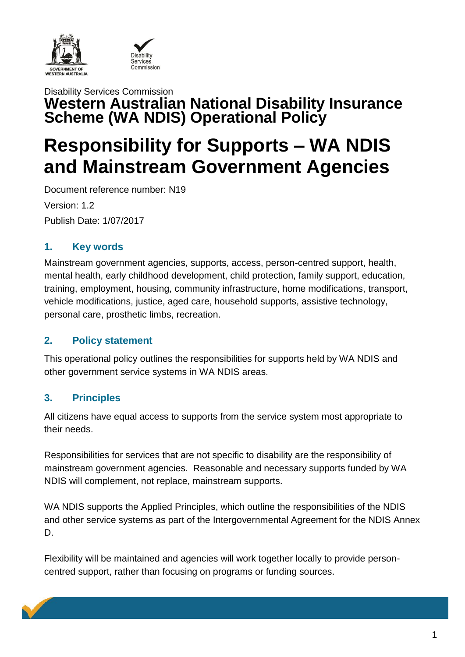



### Disability Services Commission **Western Australian National Disability Insurance Scheme (WA NDIS) Operational Policy**

# **Responsibility for Supports – WA NDIS and Mainstream Government Agencies**

Document reference number: N19 Version: 1.2 Publish Date: 1/07/2017

### **1. Key words**

Mainstream government agencies, supports, access, person-centred support, health, mental health, early childhood development, child protection, family support, education, training, employment, housing, community infrastructure, home modifications, transport, vehicle modifications, justice, aged care, household supports, assistive technology, personal care, prosthetic limbs, recreation.

#### **2. Policy statement**

This operational policy outlines the responsibilities for supports held by WA NDIS and other government service systems in WA NDIS areas.

### **3. Principles**

All citizens have equal access to supports from the service system most appropriate to their needs.

Responsibilities for services that are not specific to disability are the responsibility of mainstream government agencies. Reasonable and necessary supports funded by WA NDIS will complement, not replace, mainstream supports.

WA NDIS supports the Applied Principles, which outline the responsibilities of the NDIS and other service systems as part of the Intergovernmental Agreement for the NDIS Annex D.

Flexibility will be maintained and agencies will work together locally to provide personcentred support, rather than focusing on programs or funding sources.

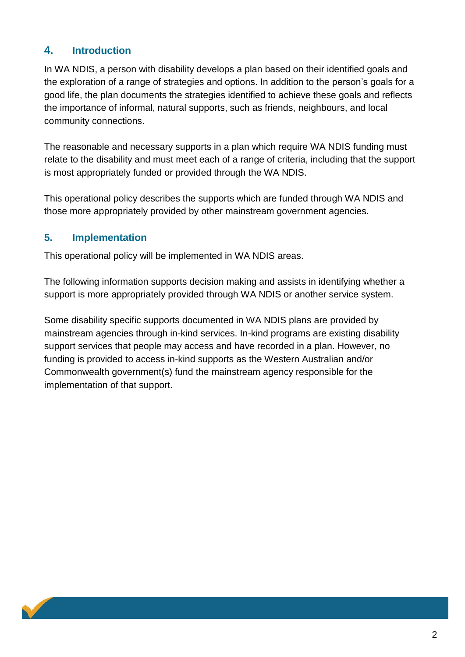### **4. Introduction**

In WA NDIS, a person with disability develops a plan based on their identified goals and the exploration of a range of strategies and options. In addition to the person's goals for a good life, the plan documents the strategies identified to achieve these goals and reflects the importance of informal, natural supports, such as friends, neighbours, and local community connections.

The reasonable and necessary supports in a plan which require WA NDIS funding must relate to the disability and must meet each of a range of criteria, including that the support is most appropriately funded or provided through the WA NDIS.

This operational policy describes the supports which are funded through WA NDIS and those more appropriately provided by other mainstream government agencies.

### **5. Implementation**

This operational policy will be implemented in WA NDIS areas.

The following information supports decision making and assists in identifying whether a support is more appropriately provided through WA NDIS or another service system.

Some disability specific supports documented in WA NDIS plans are provided by mainstream agencies through in-kind services. In-kind programs are existing disability support services that people may access and have recorded in a plan. However, no funding is provided to access in-kind supports as the Western Australian and/or Commonwealth government(s) fund the mainstream agency responsible for the implementation of that support.

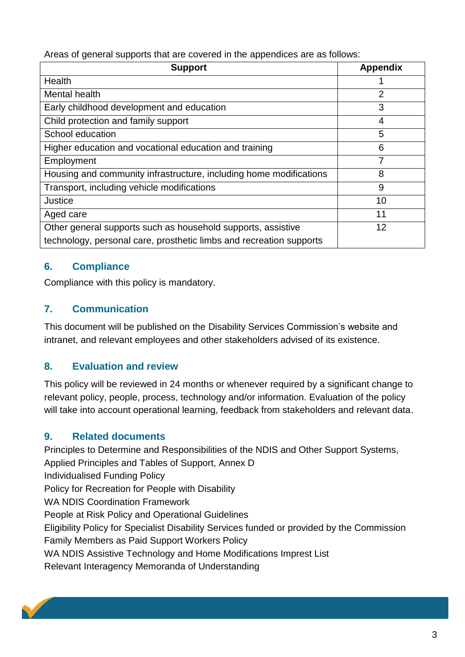Areas of general supports that are covered in the appendices are as follows:

| <b>Support</b>                                                      | <b>Appendix</b> |
|---------------------------------------------------------------------|-----------------|
| Health                                                              |                 |
| Mental health                                                       | 2               |
| Early childhood development and education                           | 3               |
| Child protection and family support                                 | 4               |
| School education                                                    | 5               |
| Higher education and vocational education and training              | 6               |
| Employment                                                          | 7               |
| Housing and community infrastructure, including home modifications  | 8               |
| Transport, including vehicle modifications                          | 9               |
| Justice                                                             | 10              |
| Aged care                                                           | 11              |
| Other general supports such as household supports, assistive        | 12              |
| technology, personal care, prosthetic limbs and recreation supports |                 |

### **6. Compliance**

Compliance with this policy is mandatory.

### **7. Communication**

This document will be published on the Disability Services Commission's website and intranet, and relevant employees and other stakeholders advised of its existence.

### **8. Evaluation and review**

This policy will be reviewed in 24 months or whenever required by a significant change to relevant policy, people, process, technology and/or information. Evaluation of the policy will take into account operational learning, feedback from stakeholders and relevant data.

### **9. Related documents**

Principles to Determine and Responsibilities of the NDIS and Other Support Systems, Applied Principles and Tables of Support, Annex D Individualised Funding Policy Policy for Recreation for People with Disability WA NDIS Coordination Framework People at Risk Policy and Operational Guidelines Eligibility Policy for Specialist Disability Services funded or provided by the Commission Family Members as Paid Support Workers Policy WA NDIS Assistive Technology and Home Modifications Imprest List Relevant Interagency Memoranda of Understanding

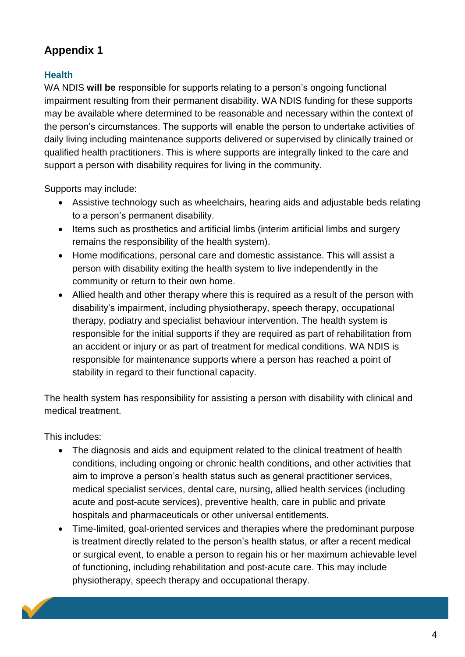### **Health**

WA NDIS **will be** responsible for supports relating to a person's ongoing functional impairment resulting from their permanent disability. WA NDIS funding for these supports may be available where determined to be reasonable and necessary within the context of the person's circumstances. The supports will enable the person to undertake activities of daily living including maintenance supports delivered or supervised by clinically trained or qualified health practitioners. This is where supports are integrally linked to the care and support a person with disability requires for living in the community.

Supports may include:

- Assistive technology such as wheelchairs, hearing aids and adjustable beds relating to a person's permanent disability.
- Items such as prosthetics and artificial limbs (interim artificial limbs and surgery remains the responsibility of the health system).
- Home modifications, personal care and domestic assistance. This will assist a person with disability exiting the health system to live independently in the community or return to their own home.
- Allied health and other therapy where this is required as a result of the person with disability's impairment, including physiotherapy, speech therapy, occupational therapy, podiatry and specialist behaviour intervention. The health system is responsible for the initial supports if they are required as part of rehabilitation from an accident or injury or as part of treatment for medical conditions. WA NDIS is responsible for maintenance supports where a person has reached a point of stability in regard to their functional capacity.

The health system has responsibility for assisting a person with disability with clinical and medical treatment.

This includes:

- The diagnosis and aids and equipment related to the clinical treatment of health conditions, including ongoing or chronic health conditions, and other activities that aim to improve a person's health status such as general practitioner services, medical specialist services, dental care, nursing, allied health services (including acute and post-acute services), preventive health, care in public and private hospitals and pharmaceuticals or other universal entitlements.
- Time-limited, goal-oriented services and therapies where the predominant purpose is treatment directly related to the person's health status, or after a recent medical or surgical event, to enable a person to regain his or her maximum achievable level of functioning, including rehabilitation and post-acute care. This may include physiotherapy, speech therapy and occupational therapy.

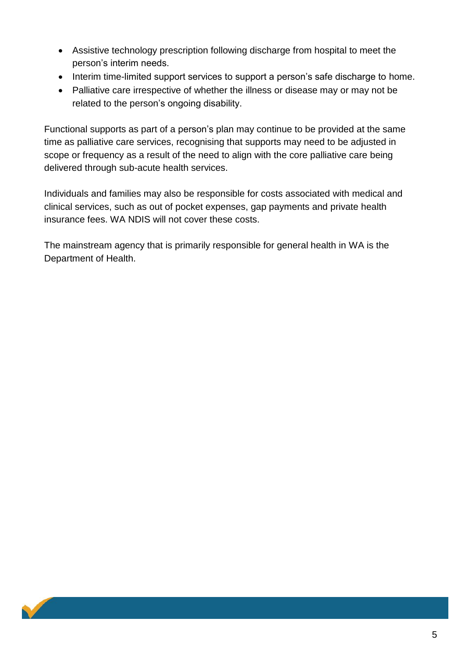- Assistive technology prescription following discharge from hospital to meet the person's interim needs.
- Interim time-limited support services to support a person's safe discharge to home.
- Palliative care irrespective of whether the illness or disease may or may not be related to the person's ongoing disability.

Functional supports as part of a person's plan may continue to be provided at the same time as palliative care services, recognising that supports may need to be adjusted in scope or frequency as a result of the need to align with the core palliative care being delivered through sub-acute health services.

Individuals and families may also be responsible for costs associated with medical and clinical services, such as out of pocket expenses, gap payments and private health insurance fees. WA NDIS will not cover these costs.

The mainstream agency that is primarily responsible for general health in WA is the Department of Health.

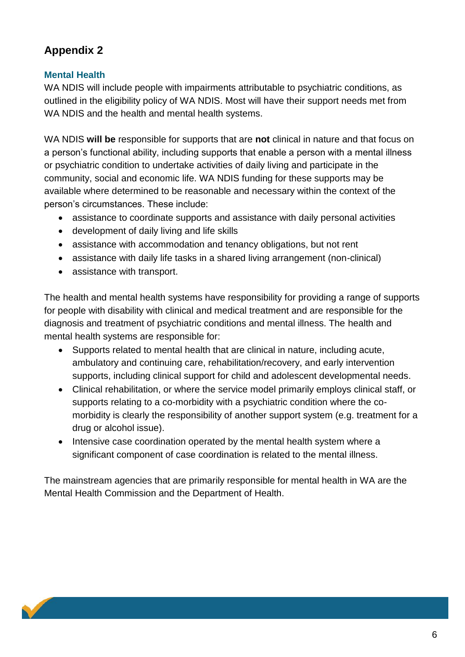### **Mental Health**

WA NDIS will include people with impairments attributable to psychiatric conditions, as outlined in the eligibility policy of WA NDIS. Most will have their support needs met from WA NDIS and the health and mental health systems.

WA NDIS **will be** responsible for supports that are **not** clinical in nature and that focus on a person's functional ability, including supports that enable a person with a mental illness or psychiatric condition to undertake activities of daily living and participate in the community, social and economic life. WA NDIS funding for these supports may be available where determined to be reasonable and necessary within the context of the person's circumstances. These include:

- assistance to coordinate supports and assistance with daily personal activities
- development of daily living and life skills
- assistance with accommodation and tenancy obligations, but not rent
- assistance with daily life tasks in a shared living arrangement (non-clinical)
- assistance with transport.

The health and mental health systems have responsibility for providing a range of supports for people with disability with clinical and medical treatment and are responsible for the diagnosis and treatment of psychiatric conditions and mental illness. The health and mental health systems are responsible for:

- Supports related to mental health that are clinical in nature, including acute, ambulatory and continuing care, rehabilitation/recovery, and early intervention supports, including clinical support for child and adolescent developmental needs.
- Clinical rehabilitation, or where the service model primarily employs clinical staff, or supports relating to a co-morbidity with a psychiatric condition where the comorbidity is clearly the responsibility of another support system (e.g. treatment for a drug or alcohol issue).
- Intensive case coordination operated by the mental health system where a significant component of case coordination is related to the mental illness.

The mainstream agencies that are primarily responsible for mental health in WA are the Mental Health Commission and the Department of Health.

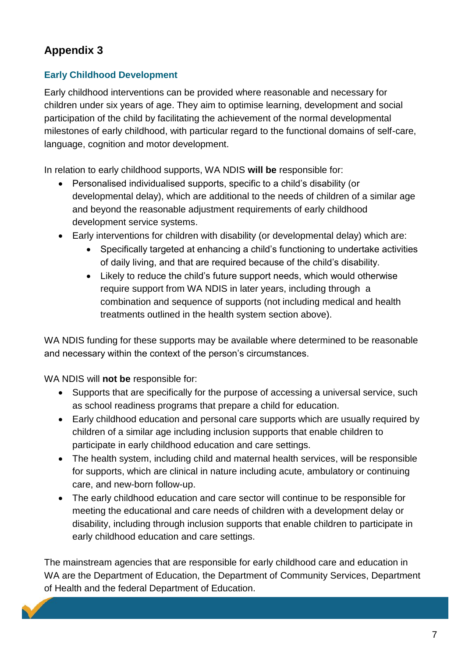### **Early Childhood Development**

Early childhood interventions can be provided where reasonable and necessary for children under six years of age. They aim to optimise learning, development and social participation of the child by facilitating the achievement of the normal developmental milestones of early childhood, with particular regard to the functional domains of self-care, language, cognition and motor development.

In relation to early childhood supports, WA NDIS **will be** responsible for:

- Personalised individualised supports, specific to a child's disability (or developmental delay), which are additional to the needs of children of a similar age and beyond the reasonable adjustment requirements of early childhood development service systems.
- Early interventions for children with disability (or developmental delay) which are:
	- Specifically targeted at enhancing a child's functioning to undertake activities of daily living, and that are required because of the child's disability.
	- Likely to reduce the child's future support needs, which would otherwise require support from WA NDIS in later years, including through a combination and sequence of supports (not including medical and health treatments outlined in the health system section above).

WA NDIS funding for these supports may be available where determined to be reasonable and necessary within the context of the person's circumstances.

WA NDIS will **not be** responsible for:

- Supports that are specifically for the purpose of accessing a universal service, such as school readiness programs that prepare a child for education.
- Early childhood education and personal care supports which are usually required by children of a similar age including inclusion supports that enable children to participate in early childhood education and care settings.
- The health system, including child and maternal health services, will be responsible for supports, which are clinical in nature including acute, ambulatory or continuing care, and new-born follow-up.
- The early childhood education and care sector will continue to be responsible for meeting the educational and care needs of children with a development delay or disability, including through inclusion supports that enable children to participate in early childhood education and care settings.

The mainstream agencies that are responsible for early childhood care and education in WA are the Department of Education, the Department of Community Services, Department of Health and the federal Department of Education.

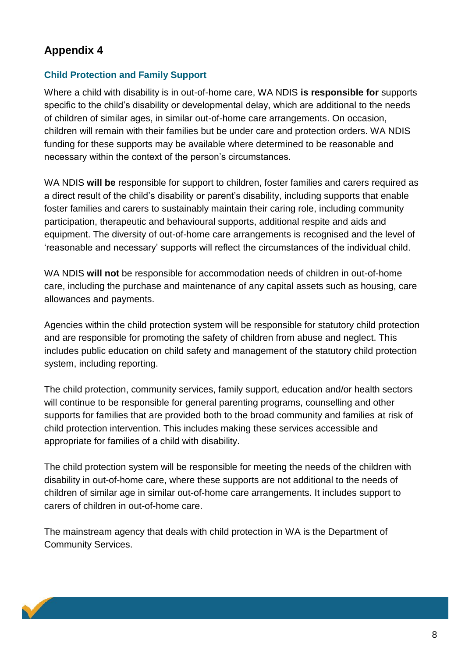#### **Child Protection and Family Support**

Where a child with disability is in out-of-home care, WA NDIS **is responsible for** supports specific to the child's disability or developmental delay, which are additional to the needs of children of similar ages, in similar out-of-home care arrangements. On occasion, children will remain with their families but be under care and protection orders. WA NDIS funding for these supports may be available where determined to be reasonable and necessary within the context of the person's circumstances.

WA NDIS **will be** responsible for support to children, foster families and carers required as a direct result of the child's disability or parent's disability, including supports that enable foster families and carers to sustainably maintain their caring role, including community participation, therapeutic and behavioural supports, additional respite and aids and equipment. The diversity of out-of-home care arrangements is recognised and the level of 'reasonable and necessary' supports will reflect the circumstances of the individual child.

WA NDIS **will not** be responsible for accommodation needs of children in out-of-home care, including the purchase and maintenance of any capital assets such as housing, care allowances and payments.

Agencies within the child protection system will be responsible for statutory child protection and are responsible for promoting the safety of children from abuse and neglect. This includes public education on child safety and management of the statutory child protection system, including reporting.

The child protection, community services, family support, education and/or health sectors will continue to be responsible for general parenting programs, counselling and other supports for families that are provided both to the broad community and families at risk of child protection intervention. This includes making these services accessible and appropriate for families of a child with disability.

The child protection system will be responsible for meeting the needs of the children with disability in out-of-home care, where these supports are not additional to the needs of children of similar age in similar out-of-home care arrangements. It includes support to carers of children in out-of-home care.

The mainstream agency that deals with child protection in WA is the Department of Community Services.

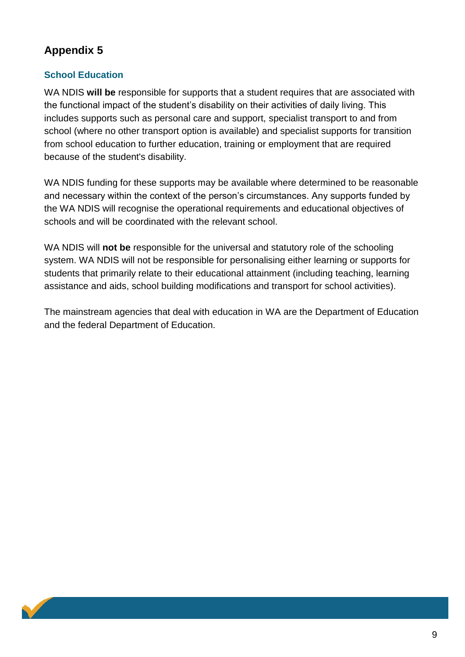### **School Education**

WA NDIS **will be** responsible for supports that a student requires that are associated with the functional impact of the student's disability on their activities of daily living. This includes supports such as personal care and support, specialist transport to and from school (where no other transport option is available) and specialist supports for transition from school education to further education, training or employment that are required because of the student's disability.

WA NDIS funding for these supports may be available where determined to be reasonable and necessary within the context of the person's circumstances. Any supports funded by the WA NDIS will recognise the operational requirements and educational objectives of schools and will be coordinated with the relevant school.

WA NDIS will **not be** responsible for the universal and statutory role of the schooling system. WA NDIS will not be responsible for personalising either learning or supports for students that primarily relate to their educational attainment (including teaching, learning assistance and aids, school building modifications and transport for school activities).

The mainstream agencies that deal with education in WA are the Department of Education and the federal Department of Education.

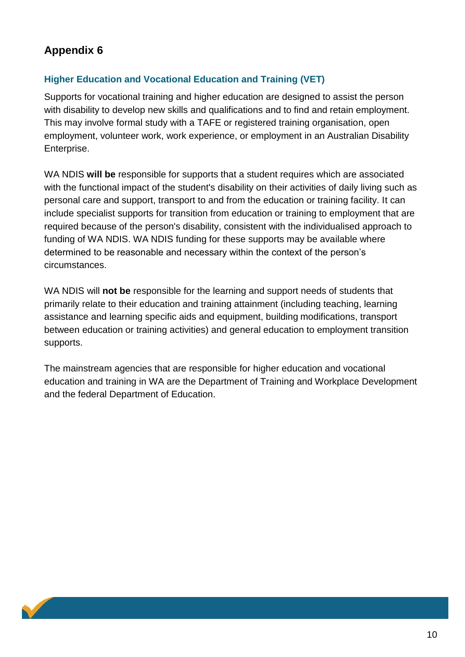#### **Higher Education and Vocational Education and Training (VET)**

Supports for vocational training and higher education are designed to assist the person with disability to develop new skills and qualifications and to find and retain employment. This may involve formal study with a TAFE or registered training organisation, open employment, volunteer work, work experience, or employment in an Australian Disability Enterprise.

WA NDIS **will be** responsible for supports that a student requires which are associated with the functional impact of the student's disability on their activities of daily living such as personal care and support, transport to and from the education or training facility. It can include specialist supports for transition from education or training to employment that are required because of the person's disability, consistent with the individualised approach to funding of WA NDIS. WA NDIS funding for these supports may be available where determined to be reasonable and necessary within the context of the person's circumstances.

WA NDIS will **not be** responsible for the learning and support needs of students that primarily relate to their education and training attainment (including teaching, learning assistance and learning specific aids and equipment, building modifications, transport between education or training activities) and general education to employment transition supports.

The mainstream agencies that are responsible for higher education and vocational education and training in WA are the Department of Training and Workplace Development and the federal Department of Education.

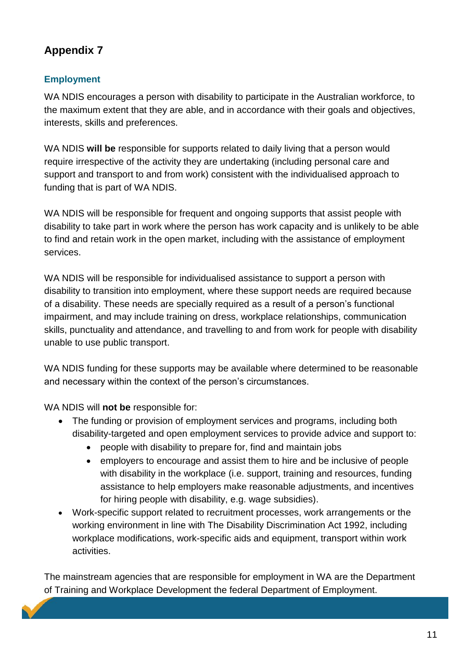### **Employment**

WA NDIS encourages a person with disability to participate in the Australian workforce, to the maximum extent that they are able, and in accordance with their goals and objectives, interests, skills and preferences.

WA NDIS **will be** responsible for supports related to daily living that a person would require irrespective of the activity they are undertaking (including personal care and support and transport to and from work) consistent with the individualised approach to funding that is part of WA NDIS.

WA NDIS will be responsible for frequent and ongoing supports that assist people with disability to take part in work where the person has work capacity and is unlikely to be able to find and retain work in the open market, including with the assistance of employment services.

WA NDIS will be responsible for individualised assistance to support a person with disability to transition into employment, where these support needs are required because of a disability. These needs are specially required as a result of a person's functional impairment, and may include training on dress, workplace relationships, communication skills, punctuality and attendance, and travelling to and from work for people with disability unable to use public transport.

WA NDIS funding for these supports may be available where determined to be reasonable and necessary within the context of the person's circumstances.

WA NDIS will **not be** responsible for:

- The funding or provision of employment services and programs, including both disability-targeted and open employment services to provide advice and support to:
	- people with disability to prepare for, find and maintain jobs
	- employers to encourage and assist them to hire and be inclusive of people with disability in the workplace (i.e. support, training and resources, funding assistance to help employers make reasonable adjustments, and incentives for hiring people with disability, e.g. wage subsidies).
- Work-specific support related to recruitment processes, work arrangements or the working environment in line with The Disability Discrimination Act 1992, including workplace modifications, work-specific aids and equipment, transport within work activities.

The mainstream agencies that are responsible for employment in WA are the Department of Training and Workplace Development the federal Department of Employment.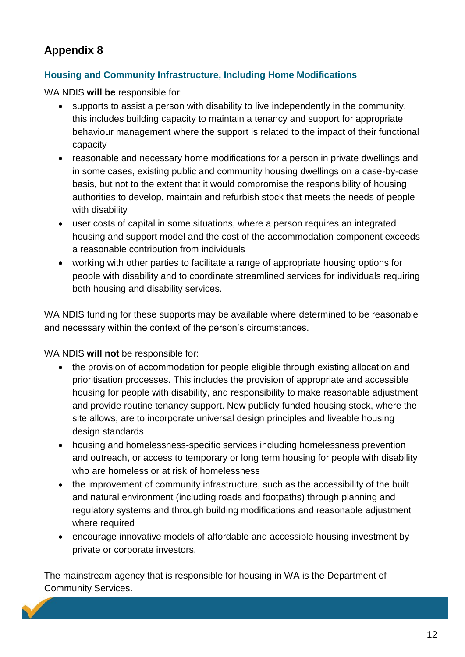#### **Housing and Community Infrastructure, Including Home Modifications**

WA NDIS **will be** responsible for:

- supports to assist a person with disability to live independently in the community, this includes building capacity to maintain a tenancy and support for appropriate behaviour management where the support is related to the impact of their functional capacity
- reasonable and necessary home modifications for a person in private dwellings and in some cases, existing public and community housing dwellings on a case-by-case basis, but not to the extent that it would compromise the responsibility of housing authorities to develop, maintain and refurbish stock that meets the needs of people with disability
- user costs of capital in some situations, where a person requires an integrated housing and support model and the cost of the accommodation component exceeds a reasonable contribution from individuals
- working with other parties to facilitate a range of appropriate housing options for people with disability and to coordinate streamlined services for individuals requiring both housing and disability services.

WA NDIS funding for these supports may be available where determined to be reasonable and necessary within the context of the person's circumstances.

WA NDIS **will not** be responsible for:

- the provision of accommodation for people eligible through existing allocation and prioritisation processes. This includes the provision of appropriate and accessible housing for people with disability, and responsibility to make reasonable adjustment and provide routine tenancy support. New publicly funded housing stock, where the site allows, are to incorporate universal design principles and liveable housing design standards
- housing and homelessness-specific services including homelessness prevention and outreach, or access to temporary or long term housing for people with disability who are homeless or at risk of homelessness
- the improvement of community infrastructure, such as the accessibility of the built and natural environment (including roads and footpaths) through planning and regulatory systems and through building modifications and reasonable adjustment where required
- encourage innovative models of affordable and accessible housing investment by private or corporate investors.

The mainstream agency that is responsible for housing in WA is the Department of Community Services.

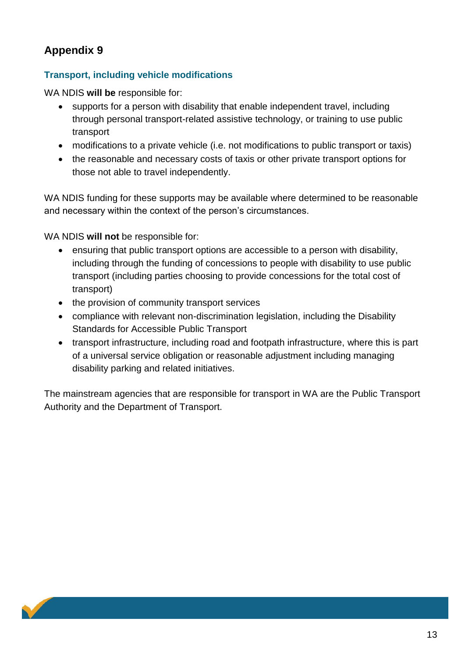#### **Transport, including vehicle modifications**

WA NDIS **will be** responsible for:

- supports for a person with disability that enable independent travel, including through personal transport-related assistive technology, or training to use public transport
- modifications to a private vehicle (i.e. not modifications to public transport or taxis)
- the reasonable and necessary costs of taxis or other private transport options for those not able to travel independently.

WA NDIS funding for these supports may be available where determined to be reasonable and necessary within the context of the person's circumstances.

WA NDIS **will not** be responsible for:

- ensuring that public transport options are accessible to a person with disability, including through the funding of concessions to people with disability to use public transport (including parties choosing to provide concessions for the total cost of transport)
- the provision of community transport services
- compliance with relevant non-discrimination legislation, including the Disability Standards for Accessible Public Transport
- transport infrastructure, including road and footpath infrastructure, where this is part of a universal service obligation or reasonable adjustment including managing disability parking and related initiatives.

The mainstream agencies that are responsible for transport in WA are the Public Transport Authority and the Department of Transport.

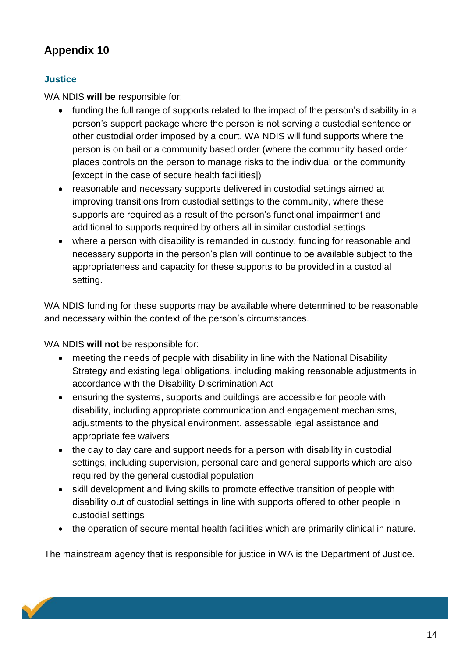### **Justice**

WA NDIS **will be** responsible for:

- funding the full range of supports related to the impact of the person's disability in a person's support package where the person is not serving a custodial sentence or other custodial order imposed by a court. WA NDIS will fund supports where the person is on bail or a community based order (where the community based order places controls on the person to manage risks to the individual or the community [except in the case of secure health facilities])
- reasonable and necessary supports delivered in custodial settings aimed at improving transitions from custodial settings to the community, where these supports are required as a result of the person's functional impairment and additional to supports required by others all in similar custodial settings
- where a person with disability is remanded in custody, funding for reasonable and necessary supports in the person's plan will continue to be available subject to the appropriateness and capacity for these supports to be provided in a custodial setting.

WA NDIS funding for these supports may be available where determined to be reasonable and necessary within the context of the person's circumstances.

WA NDIS **will not** be responsible for:

- meeting the needs of people with disability in line with the National Disability Strategy and existing legal obligations, including making reasonable adjustments in accordance with the Disability Discrimination Act
- ensuring the systems, supports and buildings are accessible for people with disability, including appropriate communication and engagement mechanisms, adjustments to the physical environment, assessable legal assistance and appropriate fee waivers
- the day to day care and support needs for a person with disability in custodial settings, including supervision, personal care and general supports which are also required by the general custodial population
- skill development and living skills to promote effective transition of people with disability out of custodial settings in line with supports offered to other people in custodial settings
- the operation of secure mental health facilities which are primarily clinical in nature.

The mainstream agency that is responsible for justice in WA is the Department of Justice.

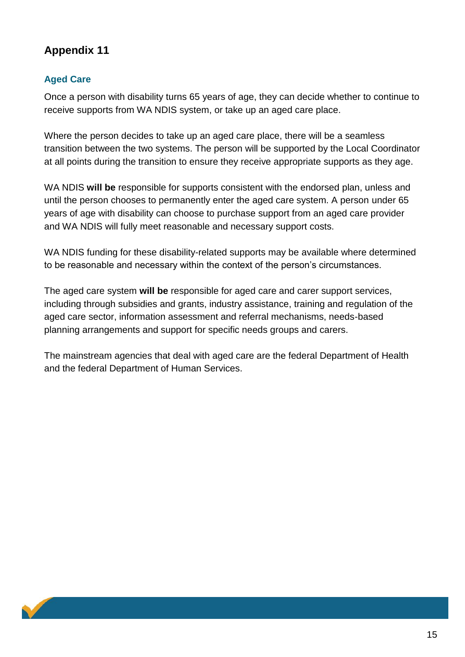### **Aged Care**

Once a person with disability turns 65 years of age, they can decide whether to continue to receive supports from WA NDIS system, or take up an aged care place.

Where the person decides to take up an aged care place, there will be a seamless transition between the two systems. The person will be supported by the Local Coordinator at all points during the transition to ensure they receive appropriate supports as they age.

WA NDIS **will be** responsible for supports consistent with the endorsed plan, unless and until the person chooses to permanently enter the aged care system. A person under 65 years of age with disability can choose to purchase support from an aged care provider and WA NDIS will fully meet reasonable and necessary support costs.

WA NDIS funding for these disability-related supports may be available where determined to be reasonable and necessary within the context of the person's circumstances.

The aged care system **will be** responsible for aged care and carer support services, including through subsidies and grants, industry assistance, training and regulation of the aged care sector, information assessment and referral mechanisms, needs-based planning arrangements and support for specific needs groups and carers.

The mainstream agencies that deal with aged care are the federal Department of Health and the federal Department of Human Services.

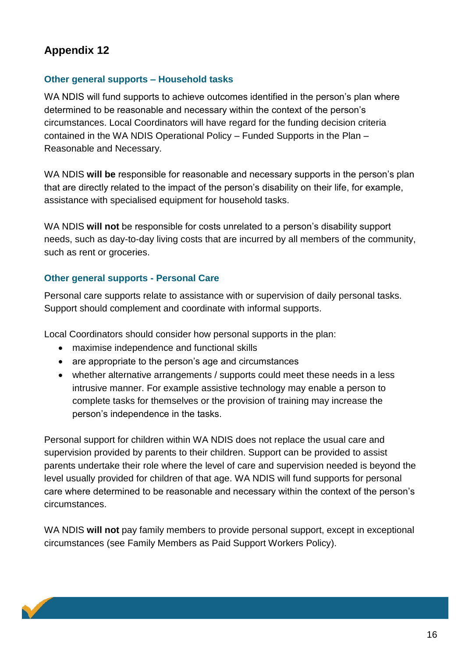#### **Other general supports – Household tasks**

WA NDIS will fund supports to achieve outcomes identified in the person's plan where determined to be reasonable and necessary within the context of the person's circumstances. Local Coordinators will have regard for the funding decision criteria contained in the WA NDIS Operational Policy – Funded Supports in the Plan – Reasonable and Necessary.

WA NDIS **will be** responsible for reasonable and necessary supports in the person's plan that are directly related to the impact of the person's disability on their life, for example, assistance with specialised equipment for household tasks.

WA NDIS **will not** be responsible for costs unrelated to a person's disability support needs, such as day-to-day living costs that are incurred by all members of the community, such as rent or groceries.

#### **Other general supports - Personal Care**

Personal care supports relate to assistance with or supervision of daily personal tasks. Support should complement and coordinate with informal supports.

Local Coordinators should consider how personal supports in the plan:

- maximise independence and functional skills
- are appropriate to the person's age and circumstances
- whether alternative arrangements / supports could meet these needs in a less intrusive manner. For example assistive technology may enable a person to complete tasks for themselves or the provision of training may increase the person's independence in the tasks.

Personal support for children within WA NDIS does not replace the usual care and supervision provided by parents to their children. Support can be provided to assist parents undertake their role where the level of care and supervision needed is beyond the level usually provided for children of that age. WA NDIS will fund supports for personal care where determined to be reasonable and necessary within the context of the person's circumstances.

WA NDIS **will not** pay family members to provide personal support, except in exceptional circumstances (see Family Members as Paid Support Workers Policy).

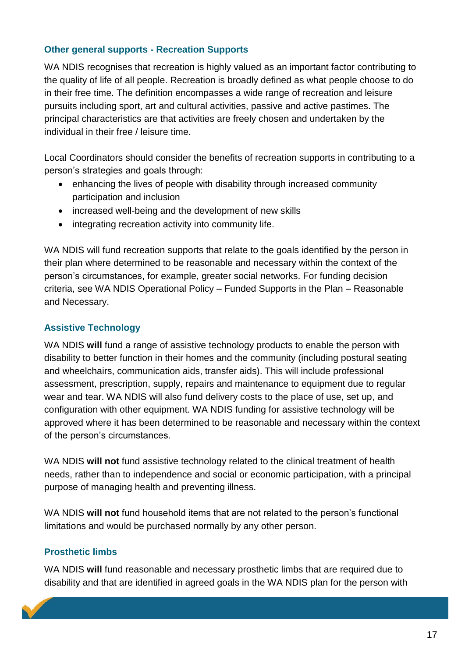#### **Other general supports - Recreation Supports**

WA NDIS recognises that recreation is highly valued as an important factor contributing to the quality of life of all people. Recreation is broadly defined as what people choose to do in their free time. The definition encompasses a wide range of recreation and leisure pursuits including sport, art and cultural activities, passive and active pastimes. The principal characteristics are that activities are freely chosen and undertaken by the individual in their free / leisure time.

Local Coordinators should consider the benefits of recreation supports in contributing to a person's strategies and goals through:

- enhancing the lives of people with disability through increased community participation and inclusion
- increased well-being and the development of new skills
- integrating recreation activity into community life.

WA NDIS will fund recreation supports that relate to the goals identified by the person in their plan where determined to be reasonable and necessary within the context of the person's circumstances, for example, greater social networks. For funding decision criteria, see WA NDIS Operational Policy – Funded Supports in the Plan – Reasonable and Necessary.

#### **Assistive Technology**

WA NDIS will fund a range of assistive technology products to enable the person with disability to better function in their homes and the community (including postural seating and wheelchairs, communication aids, transfer aids). This will include professional assessment, prescription, supply, repairs and maintenance to equipment due to regular wear and tear. WA NDIS will also fund delivery costs to the place of use, set up, and configuration with other equipment. WA NDIS funding for assistive technology will be approved where it has been determined to be reasonable and necessary within the context of the person's circumstances.

WA NDIS **will not** fund assistive technology related to the clinical treatment of health needs, rather than to independence and social or economic participation, with a principal purpose of managing health and preventing illness.

WA NDIS **will not** fund household items that are not related to the person's functional limitations and would be purchased normally by any other person.

#### **Prosthetic limbs**

WA NDIS **will** fund reasonable and necessary prosthetic limbs that are required due to disability and that are identified in agreed goals in the WA NDIS plan for the person with